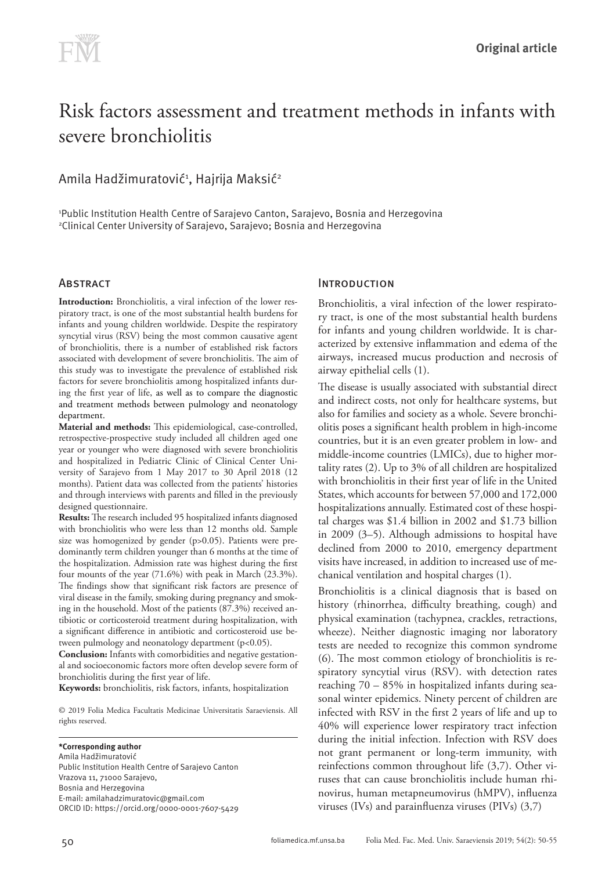# Risk factors assessment and treatment methods in infants with severe bronchiolitis

# Amila Hadžimuratović<del>'</del>, Hajrija Maksić<del>'</del>

1 Public Institution Health Centre of Sarajevo Canton, Sarajevo, Bosnia and Herzegovina 2 Clinical Center University of Sarajevo, Sarajevo; Bosnia and Herzegovina

## **ABSTRACT**

**Introduction:** Bronchiolitis, a viral infection of the lower respiratory tract, is one of the most substantial health burdens for infants and young children worldwide. Despite the respiratory syncytial virus (RSV) being the most common causative agent of bronchiolitis, there is a number of established risk factors associated with development of severe bronchiolitis. The aim of this study was to investigate the prevalence of established risk factors for severe bronchiolitis among hospitalized infants during the first year of life, as well as to compare the diagnostic and treatment methods between pulmology and neonatology department.

**Material and methods:** This epidemiological, case-controlled, retrospective-prospective study included all children aged one year or younger who were diagnosed with severe bronchiolitis and hospitalized in Pediatric Clinic of Clinical Center University of Sarajevo from 1 May 2017 to 30 April 2018 (12 months). Patient data was collected from the patients' histories and through interviews with parents and filled in the previously designed questionnaire.

**Results:** The research included 95 hospitalized infants diagnosed with bronchiolitis who were less than 12 months old. Sample size was homogenized by gender (p>0.05). Patients were predominantly term children younger than 6 months at the time of the hospitalization. Admission rate was highest during the first four mounts of the year (71.6%) with peak in March (23.3%). The findings show that significant risk factors are presence of viral disease in the family, smoking during pregnancy and smoking in the household. Most of the patients (87.3%) received antibiotic or corticosteroid treatment during hospitalization, with a significant difference in antibiotic and corticosteroid use between pulmology and neonatology department (p<0.05).

**Conclusion:** Infants with comorbidities and negative gestational and socioeconomic factors more often develop severe form of bronchiolitis during the first year of life.

**Keywords:** bronchiolitis, risk factors, infants, hospitalization

© 2019 Folia Medica Facultatis Medicinae Universitatis Saraeviensis. All rights reserved.

**\*Corresponding author** Amila Hadžimuratović Public Institution Health Centre of Sarajevo Canton Vrazova 11, 71000 Sarajevo, Bosnia and Herzegovina E-mail: amilahadzimuratovic@gmail.com ORCID ID: https://orcid.org/0000-0001-7607-5429

## **INTRODUCTION**

Bronchiolitis, a viral infection of the lower respiratory tract, is one of the most substantial health burdens for infants and young children worldwide. It is characterized by extensive inflammation and edema of the airways, increased mucus production and necrosis of airway epithelial cells (1).

The disease is usually associated with substantial direct and indirect costs, not only for healthcare systems, but also for families and society as a whole. Severe bronchiolitis poses a significant health problem in high-income countries, but it is an even greater problem in low- and middle-income countries (LMICs), due to higher mortality rates (2). Up to 3% of all children are hospitalized with bronchiolitis in their first year of life in the United States, which accounts for between 57,000 and 172,000 hospitalizations annually. Estimated cost of these hospital charges was \$1.4 billion in 2002 and \$1.73 billion in 2009 (3–5). Although admissions to hospital have declined from 2000 to 2010, emergency department visits have increased, in addition to increased use of mechanical ventilation and hospital charges (1).

Bronchiolitis is a clinical diagnosis that is based on history (rhinorrhea, difficulty breathing, cough) and physical examination (tachypnea, crackles, retractions, wheeze). Neither diagnostic imaging nor laboratory tests are needed to recognize this common syndrome (6). The most common etiology of bronchiolitis is respiratory syncytial virus (RSV). with detection rates reaching 70 – 85% in hospitalized infants during seasonal winter epidemics. Ninety percent of children are infected with RSV in the first 2 years of life and up to 40% will experience lower respiratory tract infection during the initial infection. Infection with RSV does not grant permanent or long-term immunity, with reinfections common throughout life (3,7). Other viruses that can cause bronchiolitis include human rhinovirus, human metapneumovirus (hMPV), influenza viruses (IVs) and parainfluenza viruses (PIVs) (3,7)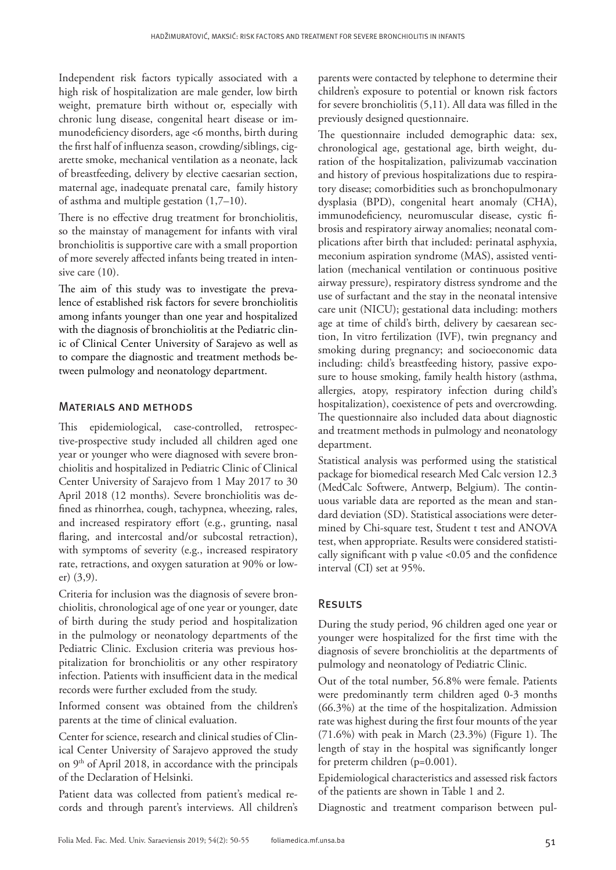Independent risk factors typically associated with a high risk of hospitalization are male gender, low birth weight, premature birth without or, especially with chronic lung disease, congenital heart disease or immunodeficiency disorders, age <6 months, birth during the first half of influenza season, crowding/siblings, cigarette smoke, mechanical ventilation as a neonate, lack of breastfeeding, delivery by elective caesarian section, maternal age, inadequate prenatal care, family history of asthma and multiple gestation (1,7–10).

There is no effective drug treatment for bronchiolitis, so the mainstay of management for infants with viral bronchiolitis is supportive care with a small proportion of more severely affected infants being treated in intensive care (10).

The aim of this study was to investigate the prevalence of established risk factors for severe bronchiolitis among infants younger than one year and hospitalized with the diagnosis of bronchiolitis at the Pediatric clinic of Clinical Center University of Sarajevo as well as to compare the diagnostic and treatment methods between pulmology and neonatology department.

#### Materials and methods

This epidemiological, case-controlled, retrospective-prospective study included all children aged one year or younger who were diagnosed with severe bronchiolitis and hospitalized in Pediatric Clinic of Clinical Center University of Sarajevo from 1 May 2017 to 30 April 2018 (12 months). Severe bronchiolitis was defined as rhinorrhea, cough, tachypnea, wheezing, rales, and increased respiratory effort (e.g., grunting, nasal flaring, and intercostal and/or subcostal retraction), with symptoms of severity (e.g., increased respiratory rate, retractions, and oxygen saturation at 90% or lower) (3,9).

Criteria for inclusion was the diagnosis of severe bronchiolitis, chronological age of one year or younger, date of birth during the study period and hospitalization in the pulmology or neonatology departments of the Pediatric Clinic. Exclusion criteria was previous hospitalization for bronchiolitis or any other respiratory infection. Patients with insufficient data in the medical records were further excluded from the study.

Informed consent was obtained from the children's parents at the time of clinical evaluation.

Center for science, research and clinical studies of Clinical Center University of Sarajevo approved the study on 9<sup>th</sup> of April 2018, in accordance with the principals of the Declaration of Helsinki.

Patient data was collected from patient's medical records and through parent's interviews. All children's parents were contacted by telephone to determine their children's exposure to potential or known risk factors for severe bronchiolitis (5,11). All data was filled in the previously designed questionnaire.

The questionnaire included demographic data: sex, chronological age, gestational age, birth weight, duration of the hospitalization, palivizumab vaccination and history of previous hospitalizations due to respiratory disease; comorbidities such as bronchopulmonary dysplasia (BPD), congenital heart anomaly (CHA), immunodeficiency, neuromuscular disease, cystic fibrosis and respiratory airway anomalies; neonatal complications after birth that included: perinatal asphyxia, meconium aspiration syndrome (MAS), assisted ventilation (mechanical ventilation or continuous positive airway pressure), respiratory distress syndrome and the use of surfactant and the stay in the neonatal intensive care unit (NICU); gestational data including: mothers age at time of child's birth, delivery by caesarean section, In vitro fertilization (IVF), twin pregnancy and smoking during pregnancy; and socioeconomic data including: child's breastfeeding history, passive exposure to house smoking, family health history (asthma, allergies, atopy, respiratory infection during child's hospitalization), coexistence of pets and overcrowding. The questionnaire also included data about diagnostic and treatment methods in pulmology and neonatology department.

Statistical analysis was performed using the statistical package for biomedical research Med Calc version 12.3 (MedCalc Softwere, Antwerp, Belgium). The continuous variable data are reported as the mean and standard deviation (SD). Statistical associations were determined by Chi-square test, Student t test and ANOVA test, when appropriate. Results were considered statistically significant with p value <0.05 and the confidence interval (CI) set at 95%.

#### Results

During the study period, 96 children aged one year or younger were hospitalized for the first time with the diagnosis of severe bronchiolitis at the departments of pulmology and neonatology of Pediatric Clinic.

Out of the total number, 56.8% were female. Patients were predominantly term children aged 0-3 months (66.3%) at the time of the hospitalization. Admission rate was highest during the first four mounts of the year (71.6%) with peak in March (23.3%) (Figure 1). The length of stay in the hospital was significantly longer for preterm children (p=0.001).

Epidemiological characteristics and assessed risk factors of the patients are shown in Table 1 and 2.

Diagnostic and treatment comparison between pul-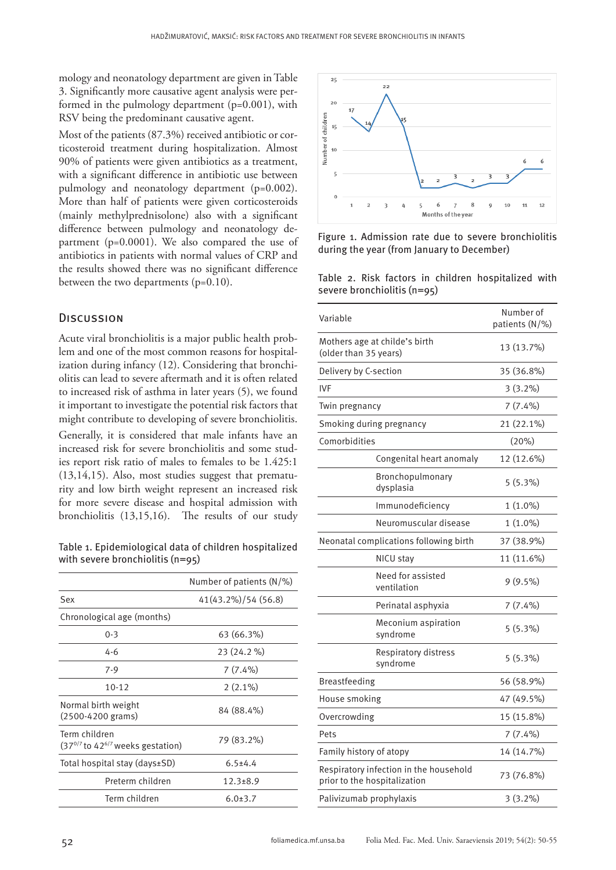mology and neonatology department are given in Table 3. Significantly more causative agent analysis were performed in the pulmology department (p=0.001), with RSV being the predominant causative agent.

Most of the patients (87.3%) received antibiotic or corticosteroid treatment during hospitalization. Almost 90% of patients were given antibiotics as a treatment, with a significant difference in antibiotic use between pulmology and neonatology department (p=0.002). More than half of patients were given corticosteroids (mainly methylprednisolone) also with a significant difference between pulmology and neonatology department (p=0.0001). We also compared the use of antibiotics in patients with normal values of CRP and the results showed there was no significant difference between the two departments (p=0.10).

#### **DISCUSSION**

Acute viral bronchiolitis is a major public health problem and one of the most common reasons for hospitalization during infancy (12). Considering that bronchiolitis can lead to severe aftermath and it is often related to increased risk of asthma in later years (5), we found it important to investigate the potential risk factors that might contribute to developing of severe bronchiolitis. Generally, it is considered that male infants have an increased risk for severe bronchiolitis and some studies report risk ratio of males to females to be 1.425:1 (13,14,15). Also, most studies suggest that prematurity and low birth weight represent an increased risk for more severe disease and hospital admission with bronchiolitis (13,15,16). The results of our study

Table 1. Epidemiological data of children hospitalized with severe bronchiolitis (n=95)

|                                                                 | Number of patients $(N/\%)$ |  |
|-----------------------------------------------------------------|-----------------------------|--|
| Sex                                                             | 41(43.2%)/54 (56.8)         |  |
| Chronological age (months)                                      |                             |  |
| $0 - 3$                                                         | 63 (66.3%)                  |  |
| $4 - 6$                                                         | 23 (24.2 %)                 |  |
| $7-9$                                                           | $7(7.4\%)$                  |  |
| $10 - 12$                                                       | $2(2.1\%)$                  |  |
| Normal birth weight<br>$(2500-4200 \text{ grams})$              | 84 (88.4%)                  |  |
| Term children<br>$(370/7$ to 42 <sup>6/7</sup> weeks gestation) | 79 (83.2%)                  |  |
| Total hospital stay (days±SD)                                   | $6.5 \pm 4.4$               |  |
| Preterm children                                                | $12.3 \pm 8.9$              |  |
| Term children                                                   | $6.0 \pm 3.7$               |  |



Figure 1. Admission rate due to severe bronchiolitis during the year (from January to December)

|  |                             |  | Table 2. Risk factors in children hospitalized with |  |
|--|-----------------------------|--|-----------------------------------------------------|--|
|  | severe bronchiolitis (n=95) |  |                                                     |  |

| Variable                                                               |                                        | Number of<br>patients (N/%) |
|------------------------------------------------------------------------|----------------------------------------|-----------------------------|
| (older than 35 years)                                                  | Mothers age at childe's birth          | 13 (13.7%)                  |
| Delivery by C-section                                                  |                                        | 35 (36.8%)                  |
| <b>IVF</b>                                                             |                                        | $3(3.2\%)$                  |
| Twin pregnancy                                                         |                                        | $7(7.4\%)$                  |
|                                                                        | Smoking during pregnancy               | 21 (22.1%)                  |
| Comorbidities                                                          |                                        | (20%)                       |
|                                                                        | Congenital heart anomaly               | 12 (12.6%)                  |
|                                                                        | Bronchopulmonary<br>dysplasia          | 5(5.3%)                     |
|                                                                        | Immunodeficiency                       | $1(1.0\%)$                  |
|                                                                        | Neuromuscular disease                  | $1(1.0\%)$                  |
|                                                                        | Neonatal complications following birth | 37 (38.9%)                  |
|                                                                        | NICU stay                              | 11 (11.6%)                  |
|                                                                        | Need for assisted<br>ventilation       | $9(9.5\%)$                  |
|                                                                        | Perinatal asphyxia                     | $7(7.4\%)$                  |
|                                                                        | Meconium aspiration<br>syndrome        | 5(5.3%)                     |
|                                                                        | Respiratory distress<br>syndrome       | 5(5.3%)                     |
| <b>Breastfeeding</b>                                                   |                                        | 56 (58.9%)                  |
| House smoking                                                          |                                        | 47 (49.5%)                  |
| Overcrowding                                                           |                                        | 15 (15.8%)                  |
| Pets                                                                   |                                        | $7(7.4\%)$                  |
| Family history of atopy                                                |                                        | 14 (14.7%)                  |
| Respiratory infection in the household<br>prior to the hospitalization |                                        | 73 (76.8%)                  |
| Palivizumab prophylaxis                                                | $3(3.2\%)$                             |                             |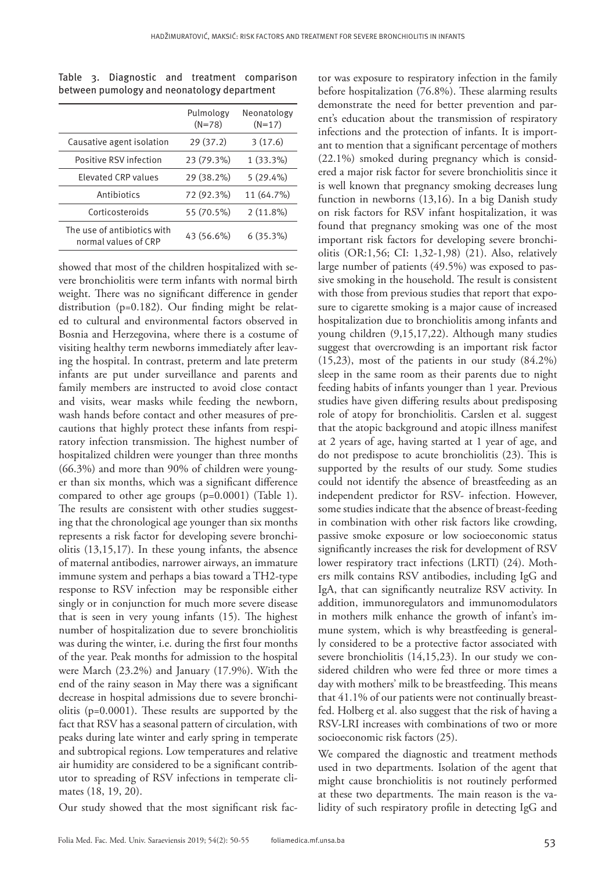|                                                     | Pulmology<br>$(N=78)$ | Neonatology<br>$(N=17)$ |
|-----------------------------------------------------|-----------------------|-------------------------|
| Causative agent isolation                           | 29(37.2)              | 3(17.6)                 |
| Positive RSV infection                              | 23 (79.3%)            | $1(33.3\%)$             |
| <b>Flevated CRP values</b>                          | 29 (38.2%)            | $5(29.4\%)$             |
| Antibiotics                                         | 72 (92.3%)            | 11 (64.7%)              |
| Corticosteroids                                     | 55 (70.5%)            | $2(11.8\%)$             |
| The use of antibiotics with<br>normal values of CRP | 43 (56.6%)            | $6(35.3\%)$             |

Table 3. Diagnostic and treatment comparison between pumology and neonatology department

showed that most of the children hospitalized with severe bronchiolitis were term infants with normal birth weight. There was no significant difference in gender distribution (p=0.182). Our finding might be related to cultural and environmental factors observed in Bosnia and Herzegovina, where there is a costume of visiting healthy term newborns immediately after leaving the hospital. In contrast, preterm and late preterm infants are put under surveillance and parents and family members are instructed to avoid close contact and visits, wear masks while feeding the newborn, wash hands before contact and other measures of precautions that highly protect these infants from respiratory infection transmission. The highest number of hospitalized children were younger than three months (66.3%) and more than 90% of children were younger than six months, which was a significant difference compared to other age groups (p=0.0001) (Table 1). The results are consistent with other studies suggesting that the chronological age younger than six months represents a risk factor for developing severe bronchiolitis (13,15,17). In these young infants, the absence of maternal antibodies, narrower airways, an immature immune system and perhaps a bias toward a TH2-type response to RSV infection may be responsible either singly or in conjunction for much more severe disease that is seen in very young infants (15). The highest number of hospitalization due to severe bronchiolitis was during the winter, i.e. during the first four months of the year. Peak months for admission to the hospital were March (23.2%) and January (17.9%). With the end of the rainy season in May there was a significant decrease in hospital admissions due to severe bronchiolitis (p=0.0001). These results are supported by the fact that RSV has a seasonal pattern of circulation, with peaks during late winter and early spring in temperate and subtropical regions. Low temperatures and relative air humidity are considered to be a significant contributor to spreading of RSV infections in temperate climates (18, 19, 20).

Our study showed that the most significant risk fac-

demonstrate the need for better prevention and parent's education about the transmission of respiratory infections and the protection of infants. It is important to mention that a significant percentage of mothers (22.1%) smoked during pregnancy which is considered a major risk factor for severe bronchiolitis since it is well known that pregnancy smoking decreases lung function in newborns (13,16). In a big Danish study on risk factors for RSV infant hospitalization, it was found that pregnancy smoking was one of the most important risk factors for developing severe bronchiolitis (OR:1,56; CI: 1,32-1,98) (21). Also, relatively large number of patients (49.5%) was exposed to passive smoking in the household. The result is consistent with those from previous studies that report that exposure to cigarette smoking is a major cause of increased hospitalization due to bronchiolitis among infants and young children (9,15,17,22). Although many studies suggest that overcrowding is an important risk factor (15,23), most of the patients in our study (84.2%) sleep in the same room as their parents due to night feeding habits of infants younger than 1 year. Previous studies have given differing results about predisposing role of atopy for bronchiolitis. Carslen et al. suggest that the atopic background and atopic illness manifest at 2 years of age, having started at 1 year of age, and do not predispose to acute bronchiolitis (23). This is supported by the results of our study. Some studies could not identify the absence of breastfeeding as an independent predictor for RSV- infection. However, some studies indicate that the absence of breast-feeding in combination with other risk factors like crowding, passive smoke exposure or low socioeconomic status significantly increases the risk for development of RSV lower respiratory tract infections (LRTI) (24). Mothers milk contains RSV antibodies, including IgG and IgA, that can significantly neutralize RSV activity. In addition, immunoregulators and immunomodulators in mothers milk enhance the growth of infant's immune system, which is why breastfeeding is generally considered to be a protective factor associated with severe bronchiolitis (14,15,23). In our study we considered children who were fed three or more times a day with mothers' milk to be breastfeeding. This means that 41.1% of our patients were not continually breastfed. Holberg et al. also suggest that the risk of having a RSV-LRI increases with combinations of two or more socioeconomic risk factors (25).

tor was exposure to respiratory infection in the family before hospitalization (76.8%). These alarming results

We compared the diagnostic and treatment methods used in two departments. Isolation of the agent that might cause bronchiolitis is not routinely performed at these two departments. The main reason is the validity of such respiratory profile in detecting IgG and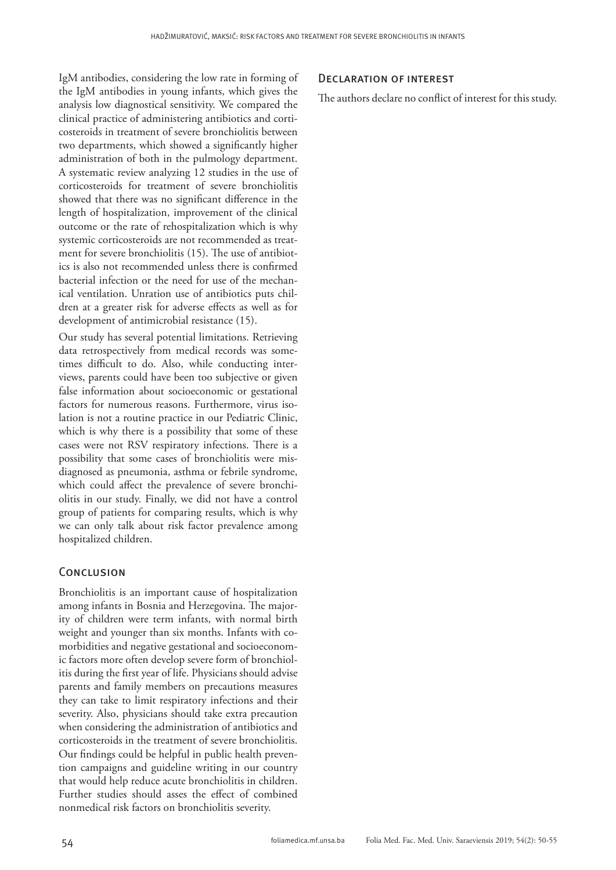IgM antibodies, considering the low rate in forming of the IgM antibodies in young infants, which gives the analysis low diagnostical sensitivity. We compared the clinical practice of administering antibiotics and corticosteroids in treatment of severe bronchiolitis between two departments, which showed a significantly higher administration of both in the pulmology department. A systematic review analyzing 12 studies in the use of corticosteroids for treatment of severe bronchiolitis showed that there was no significant difference in the length of hospitalization, improvement of the clinical outcome or the rate of rehospitalization which is why systemic corticosteroids are not recommended as treatment for severe bronchiolitis (15). The use of antibiotics is also not recommended unless there is confirmed bacterial infection or the need for use of the mechanical ventilation. Unration use of antibiotics puts children at a greater risk for adverse effects as well as for development of antimicrobial resistance (15).

Our study has several potential limitations. Retrieving data retrospectively from medical records was sometimes difficult to do. Also, while conducting interviews, parents could have been too subjective or given false information about socioeconomic or gestational factors for numerous reasons. Furthermore, virus isolation is not a routine practice in our Pediatric Clinic, which is why there is a possibility that some of these cases were not RSV respiratory infections. There is a possibility that some cases of bronchiolitis were misdiagnosed as pneumonia, asthma or febrile syndrome, which could affect the prevalence of severe bronchiolitis in our study. Finally, we did not have a control group of patients for comparing results, which is why we can only talk about risk factor prevalence among hospitalized children.

## **CONCLUSION**

Bronchiolitis is an important cause of hospitalization among infants in Bosnia and Herzegovina. The majority of children were term infants, with normal birth weight and younger than six months. Infants with comorbidities and negative gestational and socioeconomic factors more often develop severe form of bronchiolitis during the first year of life. Physicians should advise parents and family members on precautions measures they can take to limit respiratory infections and their severity. Also, physicians should take extra precaution when considering the administration of antibiotics and corticosteroids in the treatment of severe bronchiolitis. Our findings could be helpful in public health prevention campaigns and guideline writing in our country that would help reduce acute bronchiolitis in children. Further studies should asses the effect of combined nonmedical risk factors on bronchiolitis severity.

#### Declaration of interest

The authors declare no conflict of interest for this study.